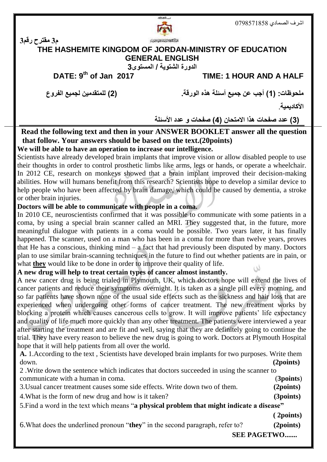

**م3 مقترح رقم3**

# **THE HASHEMITE KINGDOM OF JORDAN-MINISTRY OF EDUCATION GENERAL ENGLISH**

**الدورة الشتوية / المستوى3**

**DATE: 9th of Jan 2017 TIME: 1 HOUR AND A HALF** 

**ملحوظات: )1( أجب عن جميع أسئلة هذه الورقة. )2( للمتقدمين لجميع الفروع** 

**األكاديمية**.

 **)3( عدد صفحات هذا االمتحان )4( صفحات و عدد األسئلة**

#### **Read the following text and then in your ANSWER BOOKLET answer all the question that follow. Your answers should be based on the text.(20points) We will be able to have an operation to increase our intelligence.**

Scientists have already developed brain implants that improve vision or allow disabled people to use their thoughts in order to control prosthetic limbs like arms, legs or hands, or operate a wheelchair. In 2012 CE, research on monkeys showed that a brain implant improved their decision-making abilities. How will humans benefit from this research? Scientists hope to develop a similar device to help people who have been affected by brain damage, which could be caused by dementia, a stroke or other brain injuries.

#### **Doctors will be able to communicate with people in a coma.**

 In 2010 CE, neuroscientists confirmed that it was possible to communicate with some patients in a coma, by using a special brain scanner called an MRI. They suggested that, in the future, more meaningful dialogue with patients in a coma would be possible. Two years later, it has finally happened. The scanner, used on a man who has been in a coma for more than twelve years, proves that He has a conscious, thinking mind – a fact that had previously been disputed by many. Doctors plan to use similar brain-scanning techniques in the future to find out whether patients are in pain, or what **they** would like to be done in order to improve their quality of life.

#### **A new drug will help to treat certain types of cancer almost instantly.**

A new cancer drug is being trialed in Plymouth, UK, which doctors hope will extend the lives of cancer patients and reduce their symptoms overnight. It is taken as a single pill every morning, and so far patients have shown none of the usual side effects such as the sickness and hair loss that are experienced when undergoing other forms of cancer treatment. The new treatment works by blocking a protein which causes cancerous cells to grow. It will improve patients' life expectancy and quality of life much more quickly than any other treatment. The patients were interviewed a year after starting the treatment and are fit and well, saying that they are definitely going to continue the trial. They have every reason to believe the new drug is going to work. Doctors at Plymouth Hospital hope that it will help patients from all over the world.

**A.** 1.According to the text , Scientists have developed brain implants for two purposes. Write them down. **(2points)**

2 .Write down the sentence which indicates that doctors succeeded in using the scanner to communicate with a human in coma. (**3points**) 3.Usual cancer treatment causes some side effects. Write down two of them. **(2points)** 4.What is the form of new drug and how is it taken? **(3points)**

5.Find a word in the text which means "**a physical problem that might indicate a disease"**

 **( 2points)**

6.What does the underlined pronoun "**they**" in the second paragraph, refer to? **(2points)**

 **SEE PAGETWO.......**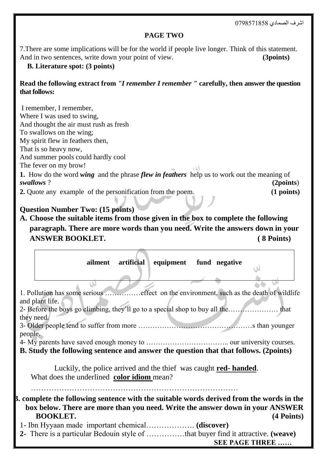اشرف الصمادي 0798571858

#### **PAGE TWO**

7.There are some implications will be for the world if people live longer. Think of this statement. And in two sentences, write down your point of view. **(3points)** 

**B. Literature spot: (3 points)** 

#### **Read the following extract from** *"I remember I remember "* **carefully, then answer the question that follows:**

I remember, I remember, Where I was used to swing, And thought the air must rush as fresh To swallows on the wing; My spirit flew in feathers then, That is so heavy now, And summer pools could hardly cool The fever on my brow! **DAY 1.** How do the word *wing* and the phrase *flew in feathers* help us to work out the meaning of *swallows* ? **(2points**) **2.** Quote any example of the personification from the poem. **(1 points)**

## **Question Number Two: (15 points)**

# **A. Choose the suitable items from those given in the box to complete the following paragraph. There are more words than you need. Write the answers down in your ANSWER BOOKLET. ( 8 Points)**

|                                                                                      |                                                                                        | ailment |  | artificial equipment fund negative                                                              |  |  |                        |            |  |
|--------------------------------------------------------------------------------------|----------------------------------------------------------------------------------------|---------|--|-------------------------------------------------------------------------------------------------|--|--|------------------------|------------|--|
|                                                                                      |                                                                                        |         |  |                                                                                                 |  |  |                        |            |  |
|                                                                                      |                                                                                        |         |  |                                                                                                 |  |  |                        |            |  |
|                                                                                      | 1. Pollution has some serious effect on the environment, such as the death of wildlife |         |  |                                                                                                 |  |  |                        |            |  |
| and plant life.                                                                      |                                                                                        |         |  |                                                                                                 |  |  |                        |            |  |
| 2- Before the boys go climbing, they'll go to a special shop to buy all the<br>that  |                                                                                        |         |  |                                                                                                 |  |  |                        |            |  |
| they need.                                                                           |                                                                                        |         |  |                                                                                                 |  |  |                        |            |  |
| people.                                                                              |                                                                                        |         |  |                                                                                                 |  |  |                        |            |  |
|                                                                                      |                                                                                        |         |  |                                                                                                 |  |  |                        |            |  |
| B. Study the following sentence and answer the question that that follows. (2points) |                                                                                        |         |  |                                                                                                 |  |  |                        |            |  |
|                                                                                      |                                                                                        |         |  |                                                                                                 |  |  |                        |            |  |
| Luckily, the police arrived and the thief was caught <b>red-handed</b> .             |                                                                                        |         |  |                                                                                                 |  |  |                        |            |  |
| What does the underlined color idiom mean?                                           |                                                                                        |         |  |                                                                                                 |  |  |                        |            |  |
|                                                                                      |                                                                                        |         |  |                                                                                                 |  |  |                        |            |  |
|                                                                                      |                                                                                        |         |  | <b>B.</b> complete the following sentence with the suitable words derived from the words in the |  |  |                        |            |  |
|                                                                                      |                                                                                        |         |  | box below. There are more than you need. Write the answer down in your ANSWER                   |  |  |                        |            |  |
|                                                                                      | <b>BOOKLET.</b>                                                                        |         |  |                                                                                                 |  |  |                        | (4 Points) |  |
|                                                                                      |                                                                                        |         |  |                                                                                                 |  |  |                        |            |  |
|                                                                                      |                                                                                        |         |  |                                                                                                 |  |  |                        |            |  |
|                                                                                      |                                                                                        |         |  |                                                                                                 |  |  | <b>SEE PAGE THREE </b> |            |  |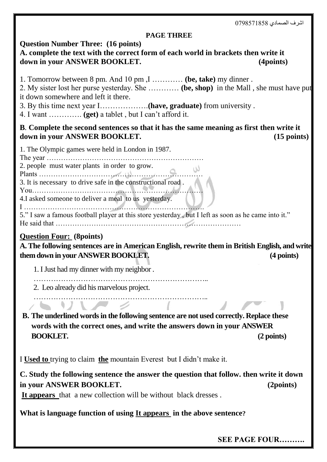اشرف الصمادي 0798571858

#### **PAGE THREE**

#### **Question Number Three: (16 points)**

## **A. complete the text with the correct form of each world in brackets then write it** down in your ANSWER BOOKLET. (4points)

1. Tomorrow between 8 pm. And 10 pm ,I ………… **(be, take)** my dinner .

2. My sister lost her purse yesterday. She ………… **(be, shop)** in the Mall , she must have put it down somewhere and left it there.

3. By this time next year I……………….**(have, graduate)** from university .

4. I want …………. **(get)** a tablet , but I can't afford it.

### **B***.* **Complete the second sentences so that it has the same meaning as first then write it down in your ANSWER BOOKLET. (15 points)**

1. The Olympic games were held in London in 1987.

The year …………………………………………………………

2. people must water plants in order to grow. Plants ……………………………………………………………

3. It is necessary to drive safe in the constructional road .

You………………………………………………………………

4.I asked someone to deliver a meal to us yesterday. I ………………………………………………………………….

5." I saw a famous football player at this store yesterday , but I left as soon as he came into it." He said that ……………………………………………………………………

# **Question Four: (8points)**

**A. The following sentences are in American English, rewrite them in British English, and write them down in your ANSWER BOOKLET. (4 points)**

1. I Just had my dinner with my neighbor .

……………………………………………………………..

2. Leo already did his marvelous project.

**B. The underlined words in the following sentence are not used correctly. Replace these words with the correct ones, and write the answers down in your ANSWER BOOKLET. (2 points)**

……………………………………………………………..

I **Used to** trying to claim **the** mountain Everest but I didn't make it.

**C. Study the following sentence the answer the question that follow. then write it down in your ANSWER BOOKLET. (2points)**

**It appears** that a new collection will be without black dresses .

# **What is language function of using It appears in the above sentence?**

 **SEE PAGE FOUR……….**